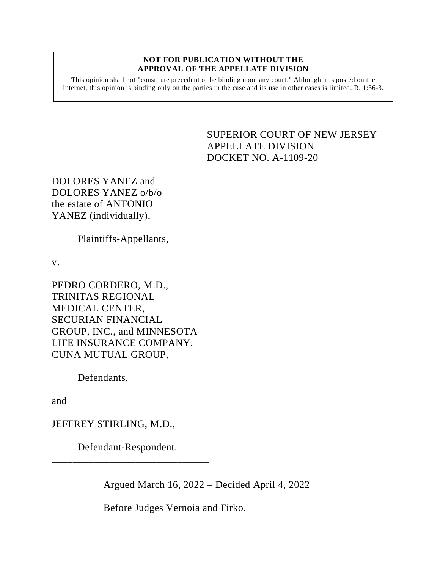## **NOT FOR PUBLICATION WITHOUT THE APPROVAL OF THE APPELLATE DIVISION**

This opinion shall not "constitute precedent or be binding upon any court." Although it is posted on the internet, this opinion is binding only on the parties in the case and its use in other cases is limited. R. 1:36-3.

## <span id="page-0-0"></span>SUPERIOR COURT OF NEW JERSEY APPELLATE DIVISION DOCKET NO. A-1109-20

DOLORES YANEZ and DOLORES YANEZ o/b/o the estate of ANTONIO YANEZ (individually),

Plaintiffs-Appellants,

v.

PEDRO CORDERO, M.D., TRINITAS REGIONAL MEDICAL CENTER, SECURIAN FINANCIAL GROUP, INC., and MINNESOTA LIFE INSURANCE COMPANY, CUNA MUTUAL GROUP,

Defendants,

and

JEFFREY STIRLING, M.D.,

Defendant-Respondent. \_\_\_\_\_\_\_\_\_\_\_\_\_\_\_\_\_\_\_\_\_\_\_\_\_\_\_\_\_\_

Argued March 16, 2022 – Decided April 4, 2022

Before Judges Vernoia and Firko.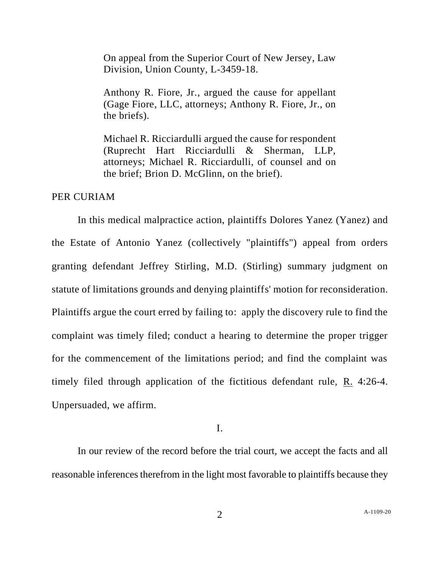On appeal from the Superior Court of New Jersey, Law Division, Union County, L-3459-18.

Anthony R. Fiore, Jr., argued the cause for appellant (Gage Fiore, LLC, attorneys; Anthony R. Fiore, Jr., on the briefs).

Michael R. Ricciardulli argued the cause for respondent (Ruprecht Hart Ricciardulli & Sherman, LLP, attorneys; Michael R. Ricciardulli, of counsel and on the brief; Brion D. McGlinn, on the brief).

## PER CURIAM

In this medical malpractice action, plaintiffs Dolores Yanez (Yanez) and the Estate of Antonio Yanez (collectively "plaintiffs") appeal from orders granting defendant Jeffrey Stirling, M.D. (Stirling) summary judgment on statute of limitations grounds and denying plaintiffs' motion for reconsideration. Plaintiffs argue the court erred by failing to: apply the discovery rule to find the complaint was timely filed; conduct a hearing to determine the proper trigger for the commencement of the limitations period; and find the complaint was timely filed through application of the fictitious defendant rule, R. 4:26-4. Unpersuaded, we affirm.

I.

In our review of the record before the trial court, we accept the facts and all reasonable inferences therefrom in the light most favorable to plaintiffs because they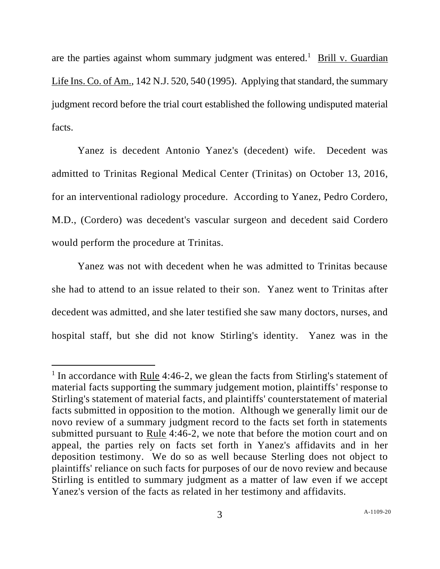are the parties against whom summary judgment was entered.<sup>1</sup> Brill v. Guardian Life Ins. Co. of Am., 142 N.J. 520, 540 (1995). Applying that standard, the summary judgment record before the trial court established the following undisputed material facts.

Yanez is decedent Antonio Yanez's (decedent) wife. Decedent was admitted to Trinitas Regional Medical Center (Trinitas) on October 13, 2016, for an interventional radiology procedure. According to Yanez, Pedro Cordero, M.D., (Cordero) was decedent's vascular surgeon and decedent said Cordero would perform the procedure at Trinitas.

Yanez was not with decedent when he was admitted to Trinitas because she had to attend to an issue related to their son. Yanez went to Trinitas after decedent was admitted, and she later testified she saw many doctors, nurses, and hospital staff, but she did not know Stirling's identity. Yanez was in the

<sup>&</sup>lt;sup>1</sup> In accordance with <u>Rule</u> 4:46-2, we glean the facts from Stirling's statement of material facts supporting the summary judgement motion, plaintiffs' response to Stirling's statement of material facts, and plaintiffs' counterstatement of material facts submitted in opposition to the motion. Although we generally limit our de novo review of a summary judgment record to the facts set forth in statements submitted pursuant to Rule 4:46-2, we note that before the motion court and on appeal, the parties rely on facts set forth in Yanez's affidavits and in her deposition testimony. We do so as well because Sterling does not object to plaintiffs' reliance on such facts for purposes of our de novo review and because Stirling is entitled to summary judgment as a matter of law even if we accept Yanez's version of the facts as related in her testimony and affidavits.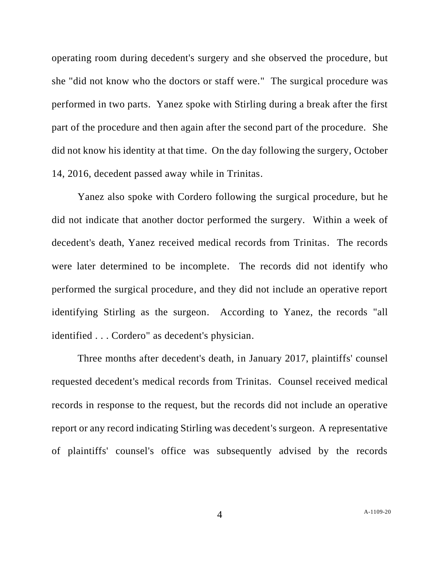operating room during decedent's surgery and she observed the procedure, but she "did not know who the doctors or staff were." The surgical procedure was performed in two parts. Yanez spoke with Stirling during a break after the first part of the procedure and then again after the second part of the procedure. She did not know his identity at that time. On the day following the surgery, October 14, 2016, decedent passed away while in Trinitas.

Yanez also spoke with Cordero following the surgical procedure, but he did not indicate that another doctor performed the surgery. Within a week of decedent's death, Yanez received medical records from Trinitas. The records were later determined to be incomplete. The records did not identify who performed the surgical procedure, and they did not include an operative report identifying Stirling as the surgeon. According to Yanez, the records "all identified . . . Cordero" as decedent's physician.

Three months after decedent's death, in January 2017, plaintiffs' counsel requested decedent's medical records from Trinitas. Counsel received medical records in response to the request, but the records did not include an operative report or any record indicating Stirling was decedent's surgeon. A representative of plaintiffs' counsel's office was subsequently advised by the records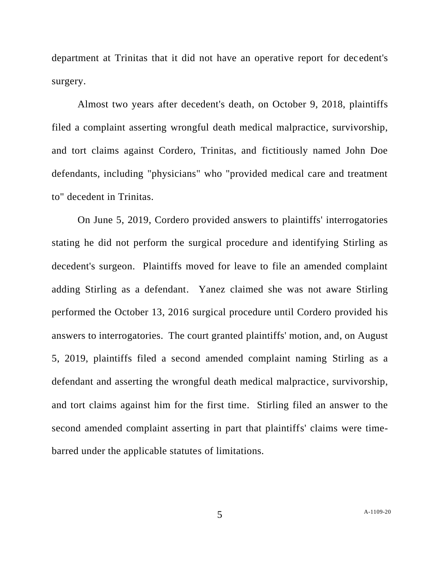department at Trinitas that it did not have an operative report for decedent's surgery.

Almost two years after decedent's death, on October 9, 2018, plaintiffs filed a complaint asserting wrongful death medical malpractice, survivorship, and tort claims against Cordero, Trinitas, and fictitiously named John Doe defendants, including "physicians" who "provided medical care and treatment to" decedent in Trinitas.

On June 5, 2019, Cordero provided answers to plaintiffs' interrogatories stating he did not perform the surgical procedure and identifying Stirling as decedent's surgeon. Plaintiffs moved for leave to file an amended complaint adding Stirling as a defendant. Yanez claimed she was not aware Stirling performed the October 13, 2016 surgical procedure until Cordero provided his answers to interrogatories. The court granted plaintiffs' motion, and, on August 5, 2019, plaintiffs filed a second amended complaint naming Stirling as a defendant and asserting the wrongful death medical malpractice, survivorship, and tort claims against him for the first time. Stirling filed an answer to the second amended complaint asserting in part that plaintiffs' claims were timebarred under the applicable statutes of limitations.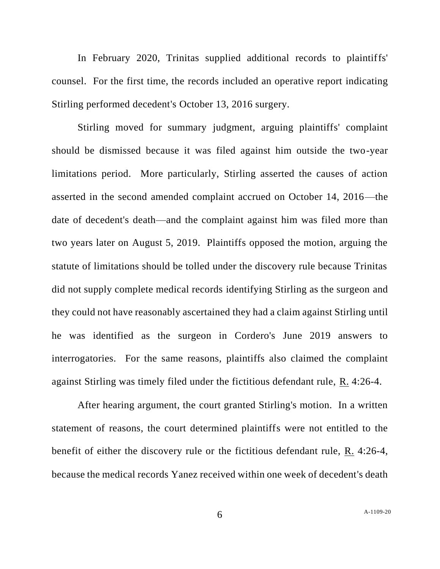In February 2020, Trinitas supplied additional records to plaintiffs' counsel. For the first time, the records included an operative report indicating Stirling performed decedent's October 13, 2016 surgery.

Stirling moved for summary judgment, arguing plaintiffs' complaint should be dismissed because it was filed against him outside the two-year limitations period. More particularly, Stirling asserted the causes of action asserted in the second amended complaint accrued on October 14, 2016—the date of decedent's death—and the complaint against him was filed more than two years later on August 5, 2019. Plaintiffs opposed the motion, arguing the statute of limitations should be tolled under the discovery rule because Trinitas did not supply complete medical records identifying Stirling as the surgeon and they could not have reasonably ascertained they had a claim against Stirling until he was identified as the surgeon in Cordero's June 2019 answers to interrogatories. For the same reasons, plaintiffs also claimed the complaint against Stirling was timely filed under the fictitious defendant rule, R. 4:26-4.

After hearing argument, the court granted Stirling's motion. In a written statement of reasons, the court determined plaintiffs were not entitled to the benefit of either the discovery rule or the fictitious defendant rule, R. 4:26-4, because the medical records Yanez received within one week of decedent's death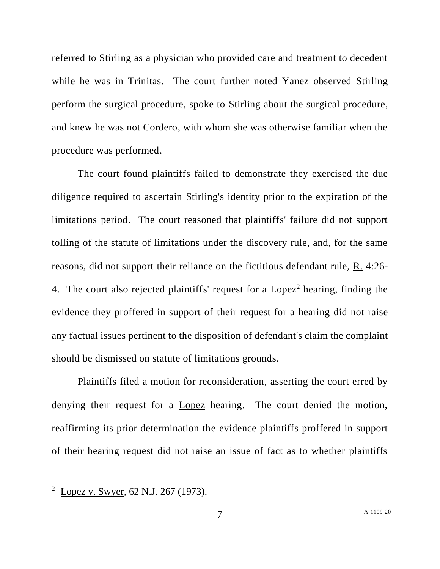referred to Stirling as a physician who provided care and treatment to decedent while he was in Trinitas. The court further noted Yanez observed Stirling perform the surgical procedure, spoke to Stirling about the surgical procedure, and knew he was not Cordero, with whom she was otherwise familiar when the procedure was performed.

The court found plaintiffs failed to demonstrate they exercised the due diligence required to ascertain Stirling's identity prior to the expiration of the limitations period. The court reasoned that plaintiffs' failure did not support tolling of the statute of limitations under the discovery rule, and, for the same reasons, did not support their reliance on the fictitious defendant rule, R. 4:26- 4. The court also rejected plaintiffs' request for a  $Lopez<sup>2</sup>$  hearing, finding the evidence they proffered in support of their request for a hearing did not raise any factual issues pertinent to the disposition of defendant's claim the complaint should be dismissed on statute of limitations grounds.

Plaintiffs filed a motion for reconsideration, asserting the court erred by denying their request for a Lopez hearing. The court denied the motion, reaffirming its prior determination the evidence plaintiffs proffered in support of their hearing request did not raise an issue of fact as to whether plaintiffs

<sup>&</sup>lt;sup>2</sup> Lopez v. Swyer, 62 N.J. 267 (1973).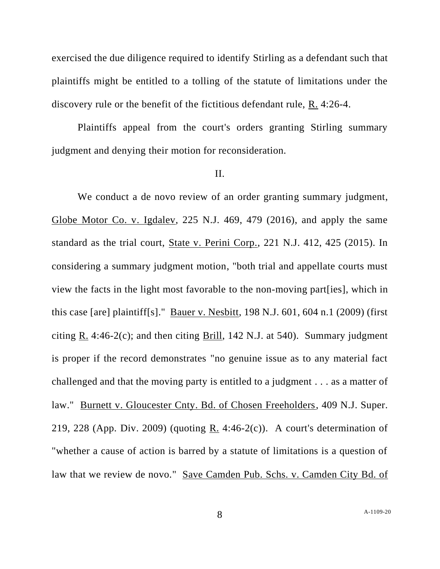exercised the due diligence required to identify Stirling as a defendant such that plaintiffs might be entitled to a tolling of the statute of limitations under the discovery rule or the benefit of the fictitious defendant rule, R. 4:26-4.

Plaintiffs appeal from the court's orders granting Stirling summary judgment and denying their motion for reconsideration.

## II.

We conduct a de novo review of an order granting summary judgment, Globe Motor Co. v. Igdalev, 225 N.J. 469, 479 (2016), and apply the same standard as the trial court, State v. Perini Corp., 221 N.J. 412, 425 (2015). In considering a summary judgment motion, "both trial and appellate courts must view the facts in the light most favorable to the non-moving part[ies], which in this case [are] plaintiff[s]." Bauer v. Nesbitt, 198 N.J. 601, 604 n.1 (2009) (first citing R. 4:46-2(c); and then citing Brill, 142 N.J. at 540). Summary judgment is proper if the record demonstrates "no genuine issue as to any material fact challenged and that the moving party is entitled to a judgment . . . as a matter of law." Burnett v. Gloucester Cnty. Bd. of Chosen Freeholders, 409 N.J. Super. 219, 228 (App. Div. 2009) (quoting R. 4:46-2(c)). A court's determination of "whether a cause of action is barred by a statute of limitations is a question of law that we review de novo." Save Camden Pub. Schs. v. Camden City Bd. of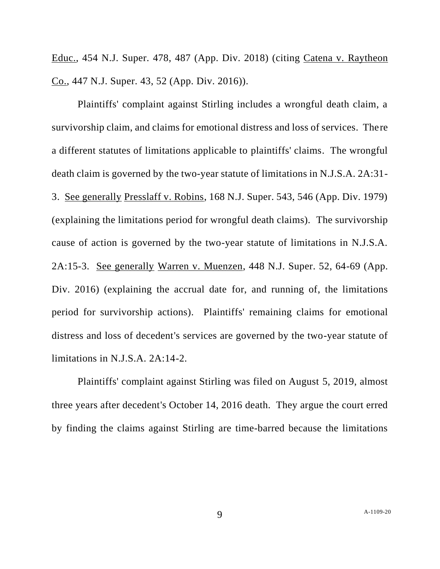Educ., 454 N.J. Super. 478, 487 (App. Div. 2018) (citing Catena v. Raytheon Co., 447 N.J. Super. 43, 52 (App. Div. 2016)).

Plaintiffs' complaint against Stirling includes a wrongful death claim, a survivorship claim, and claims for emotional distress and loss of services. There a different statutes of limitations applicable to plaintiffs' claims. The wrongful death claim is governed by the two-year statute of limitations in N.J.S.A. 2A:31- 3. See generally Presslaff v. Robins, 168 N.J. Super. 543, 546 (App. Div. 1979) (explaining the limitations period for wrongful death claims). The survivorship cause of action is governed by the two-year statute of limitations in N.J.S.A. 2A:15-3. See generally Warren v. Muenzen, 448 N.J. Super. 52, 64-69 (App. Div. 2016) (explaining the accrual date for, and running of, the limitations period for survivorship actions). Plaintiffs' remaining claims for emotional distress and loss of decedent's services are governed by the two-year statute of limitations in N.J.S.A. 2A:14-2.

Plaintiffs' complaint against Stirling was filed on August 5, 2019, almost three years after decedent's October 14, 2016 death. They argue the court erred by finding the claims against Stirling are time-barred because the limitations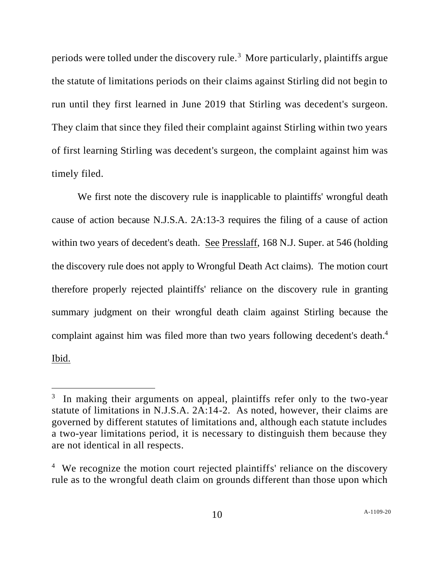periods were tolled under the discovery rule.<sup>3</sup> More particularly, plaintiffs argue the statute of limitations periods on their claims against Stirling did not begin to run until they first learned in June 2019 that Stirling was decedent's surgeon. They claim that since they filed their complaint against Stirling within two years of first learning Stirling was decedent's surgeon, the complaint against him was timely filed.

We first note the discovery rule is inapplicable to plaintiffs' wrongful death cause of action because N.J.S.A. 2A:13-3 requires the filing of a cause of action within two years of decedent's death. See Presslaff, 168 N.J. Super. at 546 (holding the discovery rule does not apply to Wrongful Death Act claims). The motion court therefore properly rejected plaintiffs' reliance on the discovery rule in granting summary judgment on their wrongful death claim against Stirling because the complaint against him was filed more than two years following decedent's death. 4 Ibid.

<sup>&</sup>lt;sup>3</sup> In making their arguments on appeal, plaintiffs refer only to the two-year statute of limitations in N.J.S.A. 2A:14-2. As noted, however, their claims are governed by different statutes of limitations and, although each statute includes a two-year limitations period, it is necessary to distinguish them because they are not identical in all respects.

<sup>&</sup>lt;sup>4</sup> We recognize the motion court rejected plaintiffs' reliance on the discovery rule as to the wrongful death claim on grounds different than those upon which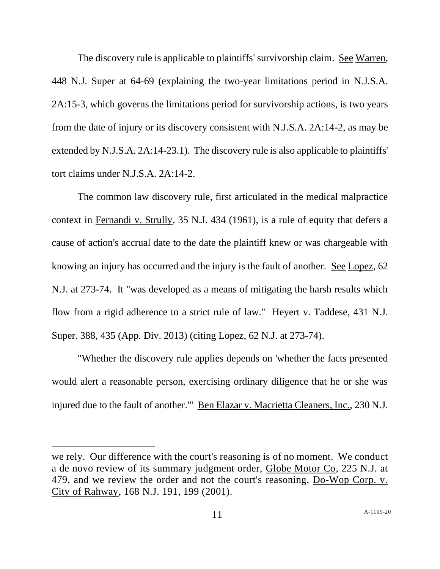The discovery rule is applicable to plaintiffs' survivorship claim. See Warren, 448 N.J. Super at 64-69 (explaining the two-year limitations period in N.J.S.A. 2A:15-3, which governs the limitations period for survivorship actions, is two years from the date of injury or its discovery consistent with N.J.S.A. 2A:14-2, as may be extended by N.J.S.A. 2A:14-23.1). The discovery rule is also applicable to plaintiffs' tort claims under N.J.S.A. 2A:14-2.

The common law discovery rule, first articulated in the medical malpractice context in Fernandi v. Strully, 35 N.J. 434 (1961), is a rule of equity that defers a cause of action's accrual date to the date the plaintiff knew or was chargeable with knowing an injury has occurred and the injury is the fault of another. See Lopez, 62 N.J. at 273-74. It "was developed as a means of mitigating the harsh results which flow from a rigid adherence to a strict rule of law." Heyert v. Taddese, 431 N.J. Super. 388, 435 (App. Div. 2013) (citing Lopez, 62 N.J. at 273-74).

"Whether the discovery rule applies depends on 'whether the facts presented would alert a reasonable person, exercising ordinary diligence that he or she was injured due to the fault of another." Ben Elazar v. Macrietta Cleaners, Inc., 230 N.J.

we rely. Our difference with the court's reasoning is of no moment. We conduct a de novo review of its summary judgment order, Globe Motor Co, 225 N.J. at 479, and we review the order and not the court's reasoning, Do-Wop Corp. v. City of Rahway, 168 N.J. 191, 199 (2001).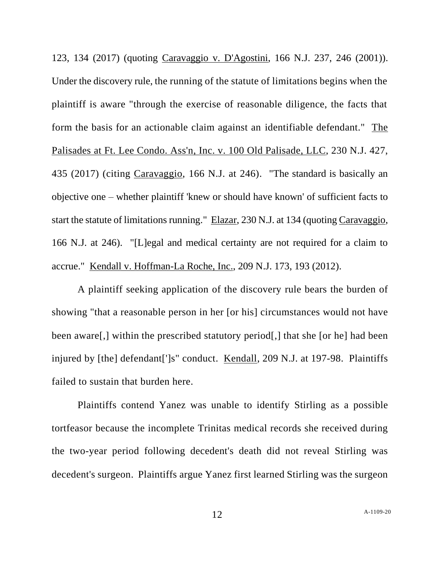123, 134 (2017) (quoting Caravaggio v. D'Agostini, 166 N.J. 237, 246 (2001)). Under the discovery rule, the running of the statute of limitations begins when the plaintiff is aware "through the exercise of reasonable diligence, the facts that form the basis for an actionable claim against an identifiable defendant." The Palisades at Ft. Lee Condo. Ass'n, Inc. v. 100 Old Palisade, LLC, 230 N.J. 427, 435 (2017) (citing Caravaggio, 166 N.J. at 246). "The standard is basically an objective one – whether plaintiff 'knew or should have known' of sufficient facts to start the statute of limitations running." Elazar, 230 N.J. at 134 (quoting Caravaggio, 166 N.J. at 246). "[L]egal and medical certainty are not required for a claim to accrue." Kendall v. Hoffman-La Roche, Inc., 209 N.J. 173, 193 (2012).

A plaintiff seeking application of the discovery rule bears the burden of showing "that a reasonable person in her [or his] circumstances would not have been aware[,] within the prescribed statutory period[,] that she [or he] had been injured by [the] defendant[']s" conduct. Kendall, 209 N.J. at 197-98. Plaintiffs failed to sustain that burden here.

Plaintiffs contend Yanez was unable to identify Stirling as a possible tortfeasor because the incomplete Trinitas medical records she received during the two-year period following decedent's death did not reveal Stirling was decedent's surgeon. Plaintiffs argue Yanez first learned Stirling was the surgeon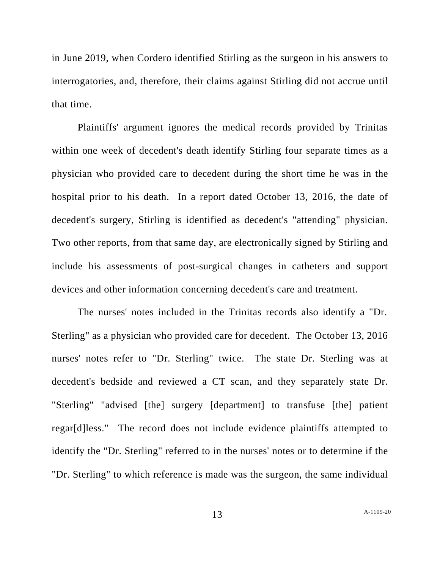in June 2019, when Cordero identified Stirling as the surgeon in his answers to interrogatories, and, therefore, their claims against Stirling did not accrue until that time.

Plaintiffs' argument ignores the medical records provided by Trinitas within one week of decedent's death identify Stirling four separate times as a physician who provided care to decedent during the short time he was in the hospital prior to his death. In a report dated October 13, 2016, the date of decedent's surgery, Stirling is identified as decedent's "attending" physician. Two other reports, from that same day, are electronically signed by Stirling and include his assessments of post-surgical changes in catheters and support devices and other information concerning decedent's care and treatment.

The nurses' notes included in the Trinitas records also identify a "Dr. Sterling" as a physician who provided care for decedent. The October 13, 2016 nurses' notes refer to "Dr. Sterling" twice. The state Dr. Sterling was at decedent's bedside and reviewed a CT scan, and they separately state Dr. "Sterling" "advised [the] surgery [department] to transfuse [the] patient regar[d]less." The record does not include evidence plaintiffs attempted to identify the "Dr. Sterling" referred to in the nurses' notes or to determine if the "Dr. Sterling" to which reference is made was the surgeon, the same individual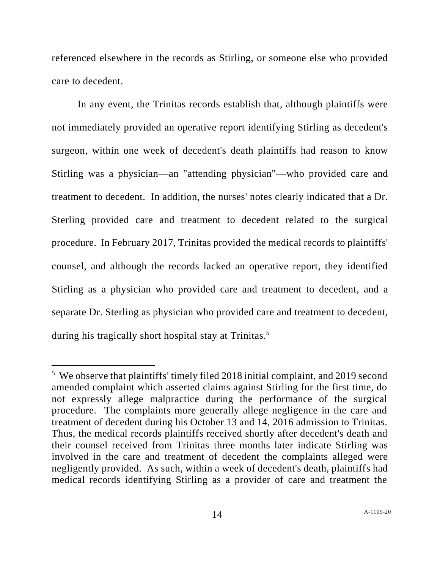referenced elsewhere in the records as Stirling, or someone else who provided care to decedent.

In any event, the Trinitas records establish that, although plaintiffs were not immediately provided an operative report identifying Stirling as decedent's surgeon, within one week of decedent's death plaintiffs had reason to know Stirling was a physician—an "attending physician"—who provided care and treatment to decedent. In addition, the nurses' notes clearly indicated that a Dr. Sterling provided care and treatment to decedent related to the surgical procedure. In February 2017, Trinitas provided the medical records to plaintiffs' counsel, and although the records lacked an operative report, they identified Stirling as a physician who provided care and treatment to decedent, and a separate Dr. Sterling as physician who provided care and treatment to decedent, during his tragically short hospital stay at Trinitas.<sup>5</sup>

<sup>&</sup>lt;sup>5</sup> We observe that plaintiffs' timely filed 2018 initial complaint, and 2019 second amended complaint which asserted claims against Stirling for the first time, do not expressly allege malpractice during the performance of the surgical procedure. The complaints more generally allege negligence in the care and treatment of decedent during his October 13 and 14, 2016 admission to Trinitas. Thus, the medical records plaintiffs received shortly after decedent's death and their counsel received from Trinitas three months later indicate Stirling was involved in the care and treatment of decedent the complaints alleged were negligently provided. As such, within a week of decedent's death, plaintiffs had medical records identifying Stirling as a provider of care and treatment the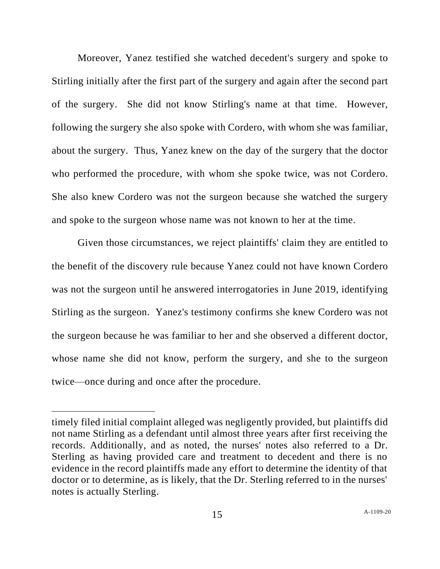Moreover, Yanez testified she watched decedent's surgery and spoke to Stirling initially after the first part of the surgery and again after the second part of the surgery. She did not know Stirling's name at that time. However, following the surgery she also spoke with Cordero, with whom she was familiar, about the surgery. Thus, Yanez knew on the day of the surgery that the doctor who performed the procedure, with whom she spoke twice, was not Cordero. She also knew Cordero was not the surgeon because she watched the surgery and spoke to the surgeon whose name was not known to her at the time.

Given those circumstances, we reject plaintiffs' claim they are entitled to the benefit of the discovery rule because Yanez could not have known Cordero was not the surgeon until he answered interrogatories in June 2019, identifying Stirling as the surgeon. Yanez's testimony confirms she knew Cordero was not the surgeon because he was familiar to her and she observed a different doctor, whose name she did not know, perform the surgery, and she to the surgeon twice—once during and once after the procedure.

timely filed initial complaint alleged was negligently provided, but plaintiffs did not name Stirling as a defendant until almost three years after first receiving the records. Additionally, and as noted, the nurses' notes also referred to a Dr. Sterling as having provided care and treatment to decedent and there is no evidence in the record plaintiffs made any effort to determine the identity of that doctor or to determine, as is likely, that the Dr. Sterling referred to in the nurses' notes is actually Sterling.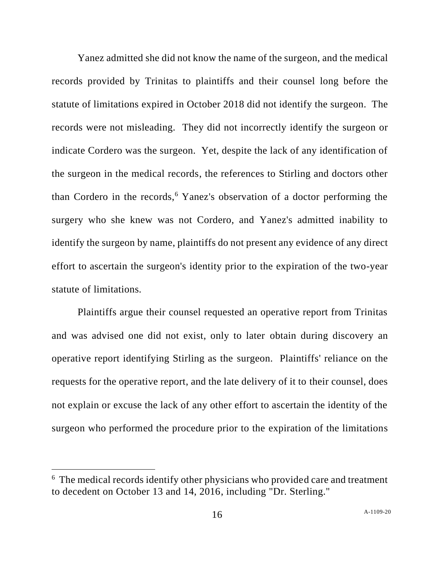Yanez admitted she did not know the name of the surgeon, and the medical records provided by Trinitas to plaintiffs and their counsel long before the statute of limitations expired in October 2018 did not identify the surgeon. The records were not misleading. They did not incorrectly identify the surgeon or indicate Cordero was the surgeon. Yet, despite the lack of any identification of the surgeon in the medical records, the references to Stirling and doctors other than Cordero in the records,<sup>6</sup> Yanez's observation of a doctor performing the surgery who she knew was not Cordero, and Yanez's admitted inability to identify the surgeon by name, plaintiffs do not present any evidence of any direct effort to ascertain the surgeon's identity prior to the expiration of the two-year statute of limitations.

Plaintiffs argue their counsel requested an operative report from Trinitas and was advised one did not exist, only to later obtain during discovery an operative report identifying Stirling as the surgeon. Plaintiffs' reliance on the requests for the operative report, and the late delivery of it to their counsel, does not explain or excuse the lack of any other effort to ascertain the identity of the surgeon who performed the procedure prior to the expiration of the limitations

<sup>&</sup>lt;sup>6</sup> The medical records identify other physicians who provided care and treatment to decedent on October 13 and 14, 2016, including "Dr. Sterling."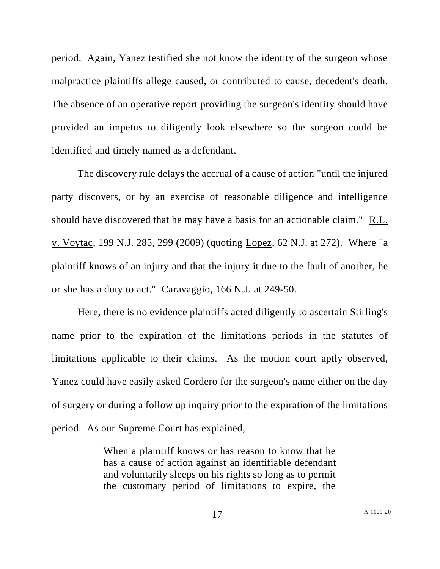period. Again, Yanez testified she not know the identity of the surgeon whose malpractice plaintiffs allege caused, or contributed to cause, decedent's death. The absence of an operative report providing the surgeon's identity should have provided an impetus to diligently look elsewhere so the surgeon could be identified and timely named as a defendant.

The discovery rule delays the accrual of a cause of action "until the injured party discovers, or by an exercise of reasonable diligence and intelligence should have discovered that he may have a basis for an actionable claim." R.L. v. Voytac, 199 N.J. 285, 299 (2009) (quoting Lopez, 62 N.J. at 272). Where "a plaintiff knows of an injury and that the injury it due to the fault of another, he or she has a duty to act." Caravaggio, 166 N.J. at 249-50.

Here, there is no evidence plaintiffs acted diligently to ascertain Stirling's name prior to the expiration of the limitations periods in the statutes of limitations applicable to their claims. As the motion court aptly observed, Yanez could have easily asked Cordero for the surgeon's name either on the day of surgery or during a follow up inquiry prior to the expiration of the limitations period. As our Supreme Court has explained,

> When a plaintiff knows or has reason to know that he has a cause of action against an identifiable defendant and voluntarily sleeps on his rights so long as to permit the customary period of limitations to expire, the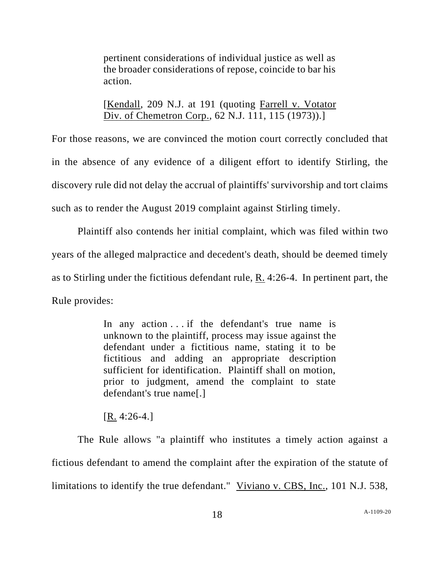pertinent considerations of individual justice as well as the broader considerations of repose, coincide to bar his action.

[Kendall, 209 N.J. at 191 (quoting Farrell v. Votator Div. of Chemetron Corp., 62 N.J. 111, 115 (1973)).]

For those reasons, we are convinced the motion court correctly concluded that in the absence of any evidence of a diligent effort to identify Stirling, the discovery rule did not delay the accrual of plaintiffs' survivorship and tort claims such as to render the August 2019 complaint against Stirling timely.

Plaintiff also contends her initial complaint, which was filed within two years of the alleged malpractice and decedent's death, should be deemed timely as to Stirling under the fictitious defendant rule, R. 4:26-4. In pertinent part, the Rule provides:

> In any action . . . if the defendant's true name is unknown to the plaintiff, process may issue against the defendant under a fictitious name, stating it to be fictitious and adding an appropriate description sufficient for identification. Plaintiff shall on motion, prior to judgment, amend the complaint to state defendant's true name[.]

[R. 4:26-4.]

The Rule allows "a plaintiff who institutes a timely action against a fictious defendant to amend the complaint after the expiration of the statute of limitations to identify the true defendant." Viviano v. CBS, Inc., 101 N.J. 538,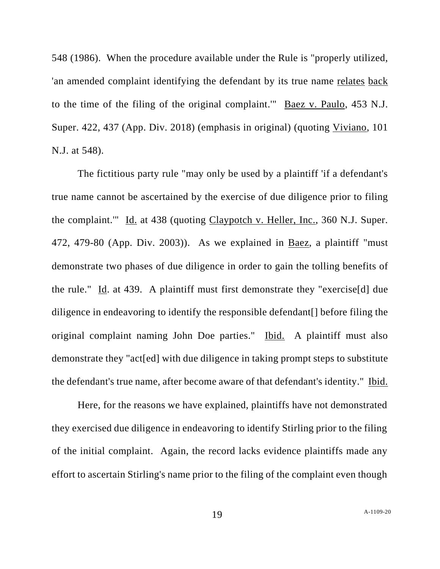548 (1986). When the procedure available under the Rule is "properly utilized, 'an amended complaint identifying the defendant by its true name relates back to the time of the filing of the original complaint.'" Baez v. Paulo, 453 N.J. Super. 422, 437 (App. Div. 2018) (emphasis in original) (quoting Viviano, 101 N.J. at 548).

The fictitious party rule "may only be used by a plaintiff 'if a defendant's true name cannot be ascertained by the exercise of due diligence prior to filing the complaint.'" Id. at 438 (quoting Claypotch v. Heller, Inc., 360 N.J. Super. 472, 479-80 (App. Div. 2003)). As we explained in Baez, a plaintiff "must demonstrate two phases of due diligence in order to gain the tolling benefits of the rule." Id. at 439. A plaintiff must first demonstrate they "exercise[d] due diligence in endeavoring to identify the responsible defendant[] before filing the original complaint naming John Doe parties." Ibid. A plaintiff must also demonstrate they "act[ed] with due diligence in taking prompt steps to substitute the defendant's true name, after become aware of that defendant's identity." Ibid.

Here, for the reasons we have explained, plaintiffs have not demonstrated they exercised due diligence in endeavoring to identify Stirling prior to the filing of the initial complaint. Again, the record lacks evidence plaintiffs made any effort to ascertain Stirling's name prior to the filing of the complaint even though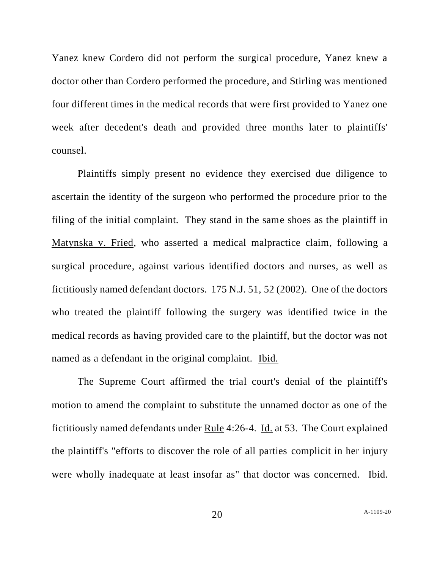Yanez knew Cordero did not perform the surgical procedure, Yanez knew a doctor other than Cordero performed the procedure, and Stirling was mentioned four different times in the medical records that were first provided to Yanez one week after decedent's death and provided three months later to plaintiffs' counsel.

Plaintiffs simply present no evidence they exercised due diligence to ascertain the identity of the surgeon who performed the procedure prior to the filing of the initial complaint. They stand in the same shoes as the plaintiff in Matynska v. Fried, who asserted a medical malpractice claim, following a surgical procedure, against various identified doctors and nurses, as well as fictitiously named defendant doctors. 175 N.J. 51, 52 (2002). One of the doctors who treated the plaintiff following the surgery was identified twice in the medical records as having provided care to the plaintiff, but the doctor was not named as a defendant in the original complaint. Ibid.

The Supreme Court affirmed the trial court's denial of the plaintiff's motion to amend the complaint to substitute the unnamed doctor as one of the fictitiously named defendants under Rule 4:26-4. Id. at 53. The Court explained the plaintiff's "efforts to discover the role of all parties complicit in her injury were wholly inadequate at least insofar as" that doctor was concerned. Ibid.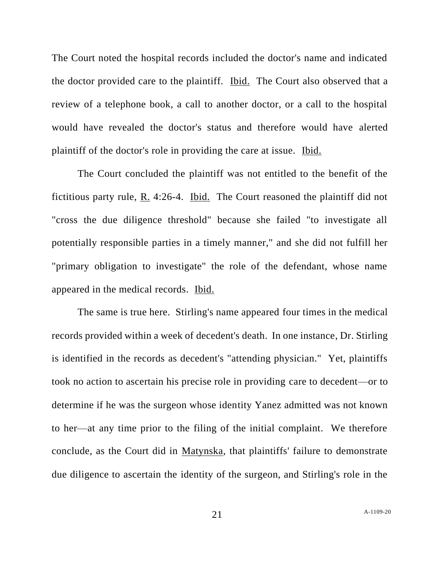The Court noted the hospital records included the doctor's name and indicated the doctor provided care to the plaintiff. Ibid. The Court also observed that a review of a telephone book, a call to another doctor, or a call to the hospital would have revealed the doctor's status and therefore would have alerted plaintiff of the doctor's role in providing the care at issue. Ibid.

The Court concluded the plaintiff was not entitled to the benefit of the fictitious party rule, R. 4:26-4. Ibid. The Court reasoned the plaintiff did not "cross the due diligence threshold" because she failed "to investigate all potentially responsible parties in a timely manner," and she did not fulfill her "primary obligation to investigate" the role of the defendant, whose name appeared in the medical records. Ibid.

The same is true here. Stirling's name appeared four times in the medical records provided within a week of decedent's death. In one instance, Dr. Stirling is identified in the records as decedent's "attending physician." Yet, plaintiffs took no action to ascertain his precise role in providing care to decedent—or to determine if he was the surgeon whose identity Yanez admitted was not known to her—at any time prior to the filing of the initial complaint. We therefore conclude, as the Court did in Matynska, that plaintiffs' failure to demonstrate due diligence to ascertain the identity of the surgeon, and Stirling's role in the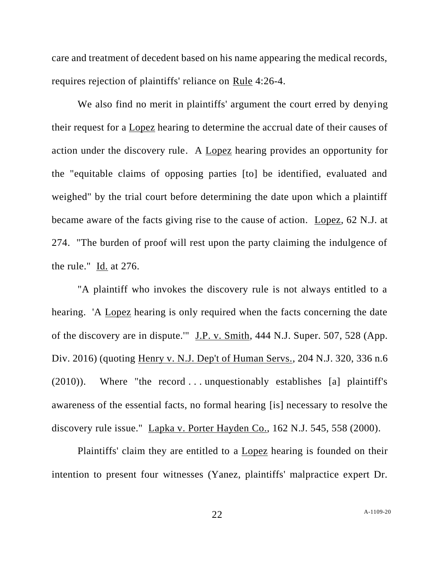care and treatment of decedent based on his name appearing the medical records, requires rejection of plaintiffs' reliance on Rule 4:26-4.

We also find no merit in plaintiffs' argument the court erred by denying their request for a Lopez hearing to determine the accrual date of their causes of action under the discovery rule. A Lopez hearing provides an opportunity for the "equitable claims of opposing parties [to] be identified, evaluated and weighed" by the trial court before determining the date upon which a plaintiff became aware of the facts giving rise to the cause of action. Lopez, 62 N.J. at 274. "The burden of proof will rest upon the party claiming the indulgence of the rule." Id. at 276.

"A plaintiff who invokes the discovery rule is not always entitled to a hearing. 'A Lopez hearing is only required when the facts concerning the date of the discovery are in dispute.'" J.P. v. Smith, 444 N.J. Super. 507, 528 (App. Div. 2016) (quoting Henry v. N.J. Dep't of Human Servs., 204 N.J. 320, 336 n.6  $(2010)$ ). Where "the record ... unquestionably establishes [a] plaintiff's awareness of the essential facts, no formal hearing [is] necessary to resolve the discovery rule issue." Lapka v. Porter Hayden Co., 162 N.J. 545, 558 (2000).

Plaintiffs' claim they are entitled to a Lopez hearing is founded on their intention to present four witnesses (Yanez, plaintiffs' malpractice expert Dr.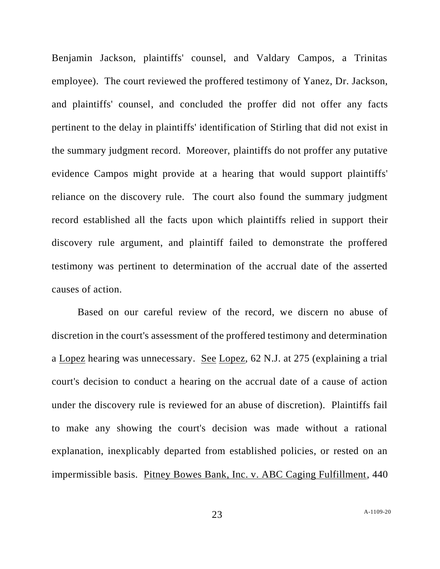Benjamin Jackson, plaintiffs' counsel, and Valdary Campos, a Trinitas employee). The court reviewed the proffered testimony of Yanez, Dr. Jackson, and plaintiffs' counsel, and concluded the proffer did not offer any facts pertinent to the delay in plaintiffs' identification of Stirling that did not exist in the summary judgment record. Moreover, plaintiffs do not proffer any putative evidence Campos might provide at a hearing that would support plaintiffs' reliance on the discovery rule. The court also found the summary judgment record established all the facts upon which plaintiffs relied in support their discovery rule argument, and plaintiff failed to demonstrate the proffered testimony was pertinent to determination of the accrual date of the asserted causes of action.

Based on our careful review of the record, we discern no abuse of discretion in the court's assessment of the proffered testimony and determination a Lopez hearing was unnecessary. See Lopez, 62 N.J. at 275 (explaining a trial court's decision to conduct a hearing on the accrual date of a cause of action under the discovery rule is reviewed for an abuse of discretion). Plaintiffs fail to make any showing the court's decision was made without a rational explanation, inexplicably departed from established policies, or rested on an impermissible basis. Pitney Bowes Bank, Inc. v. ABC Caging Fulfillment, 440